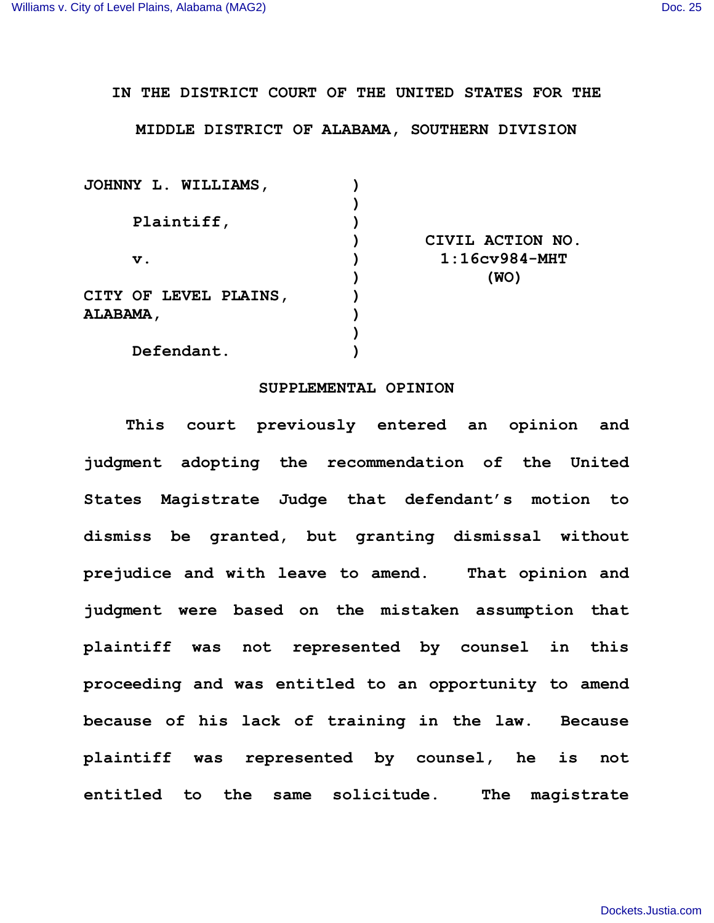## **IN THE DISTRICT COURT OF THE UNITED STATES FOR THE**

## **MIDDLE DISTRICT OF ALABAMA, SOUTHERN DIVISION**

| <b>JOHNNY L. WILLIAMS,</b> |                  |
|----------------------------|------------------|
|                            |                  |
| Plaintiff,                 |                  |
|                            | CIVIL ACTION NO. |
| $\mathbf v$ .              | $1:16cv984-MHT$  |
|                            | (WO)             |
| CITY OF LEVEL PLAINS,      |                  |
| <b>ALABAMA ,</b>           |                  |
|                            |                  |
| Defendant.                 |                  |

## **SUPPLEMENTAL OPINION**

**This court previously entered an opinion and judgment adopting the recommendation of the United States Magistrate Judge that defendant's motion to dismiss be granted, but granting dismissal without prejudice and with leave to amend. That opinion and judgment were based on the mistaken assumption that plaintiff was not represented by counsel in this proceeding and was entitled to an opportunity to amend because of his lack of training in the law. Because plaintiff was represented by counsel, he is not entitled to the same solicitude. The magistrate**